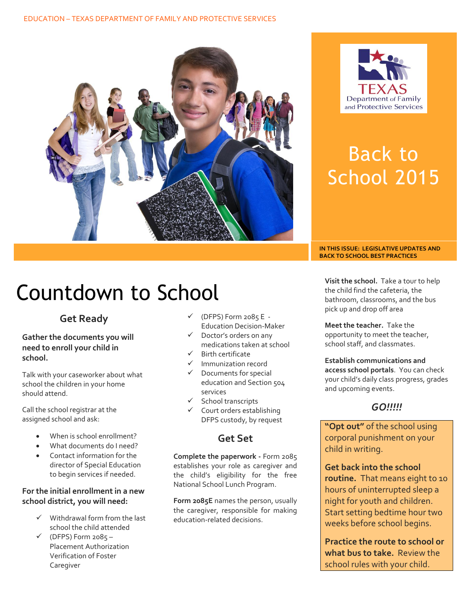



# Back to School 2015

#### **IN THIS ISSUE: LEGISLATIVE UPDATES AND BACK TO SCHOOL BEST PRACTICES**

# Countdown to School

## **Get Ready**

#### **Gather the documents you will need to enroll your child in school.**

Talk with your caseworker about what school the children in your home should attend.

Call the school registrar at the assigned school and ask:

- When is school enrollment?
- What documents do I need?
- Contact information for the director of Special Education to begin services if needed.

#### **For the initial enrollment in a new school district, you will need:**

- $\checkmark$  Withdrawal form from the last school the child attended
- $V$  (DFPS) Form 2085 Placement Authorization Verification of Foster Caregiver
- $\checkmark$  (DFPS) Form 2085 E -Education Decision-Maker
- Doctor's orders on any medications taken at school
- $\checkmark$  Birth certificate
- Immunization record
- $\checkmark$  Documents for special education and Section 504 services
- $\checkmark$  School transcripts
- $\checkmark$  Court orders establishing DFPS custody, by request

## **Get Set**

**Complete the paperwork -** Form 2085 establishes your role as caregiver and the child's eligibility for the free National School Lunch Program.

**Form 2085E** names the person, usually the caregiver, responsible for making education-related decisions.

**Visit the school.** Take a tour to help the child find the cafeteria, the bathroom, classrooms, and the bus pick up and drop off area

**Meet the teacher.** Take the opportunity to meet the teacher, school staff, and classmates.

**Establish communications and access school portals**. You can check your child's daily class progress, grades and upcoming events.

## *GO!!!!!*

**"Opt out"** of the school using corporal punishment on your child in writing.

**Get back into the school routine.** That means eight to 10 hours of uninterrupted sleep a night for youth and children. Start setting bedtime hour two weeks before school begins.

**Practice the route to school or what bus to take.** Review the school rules with your child.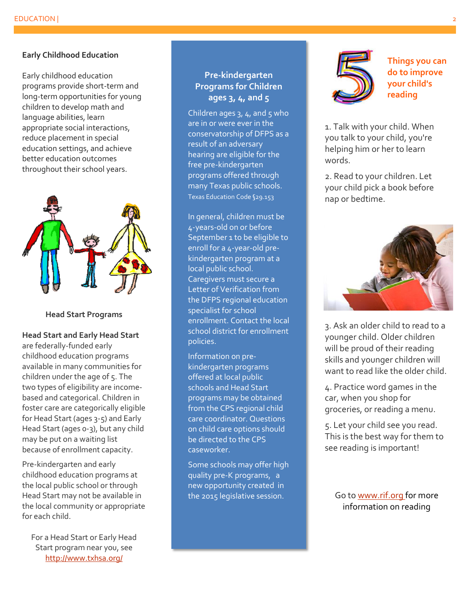#### **Early Childhood Education**

Early childhood education programs provide short-term and long-term opportunities for young children to develop math and language abilities, learn appropriate social interactions, reduce placement in special education settings, and achieve better education outcomes throughout their school years.



#### **Head Start Programs**

#### **Head Start and Early Head Start**

are federally-funded early childhood education programs available in many communities for children under the age of 5. The two types of eligibility are incomebased and categorical. Children in foster care are categorically eligible for Head Start (ages 3-5) and Early Head Start (ages 0-3), but any child may be put on a waiting list because of enrollment capacity.

Pre-kindergarten and early childhood education programs at the local public school or through Head Start may not be available in the local community or appropriate for each child.

For a Head Start or Early Head Start program near you, see <http://www.txhsa.org/>

#### **Pre-kindergarten Programs for Children ages 3, 4, and 5**

Children ages  $3, 4$ , and  $5$  who are in or were ever in the conservatorship of DFPS as a result of an adversary hearing are eligible for the free pre-kindergarten programs offered through many Texas public schools. Texas Education Code §29.153

In general, children must be 4-years-old on or before September 1 to be eligible to enroll for a 4-year-old prekindergarten program at a local public school. Caregivers must secure a Letter of Verification from the DFPS regional education specialist for school enrollment. Contact the local school district for enrollment policies.

Information on prekindergarten programs offered at local public schools and Head Start programs may be obtained from the CPS regional child care coordinator. Questions on child care options should be directed to the CPS caseworker.

Some schools may offer high quality pre-K programs, a new opportunity created in the 2015 legislative session.



**Things you can do to improve your child's reading**

1. Talk with your child. When you talk to your child, you're helping him or her to learn words.

2. Read to your children. Let your child pick a book before nap or bedtime.



3. Ask an older child to read to a younger child. Older children will be proud of their reading skills and younger children will want to read like the older child.

4. Practice word games in the car, when you shop for groceries, or reading a menu.

5. Let your child see you read. This is the best way for them to see reading is important!

Go to [www.rif.org](http://www.rif.org/) for more information on reading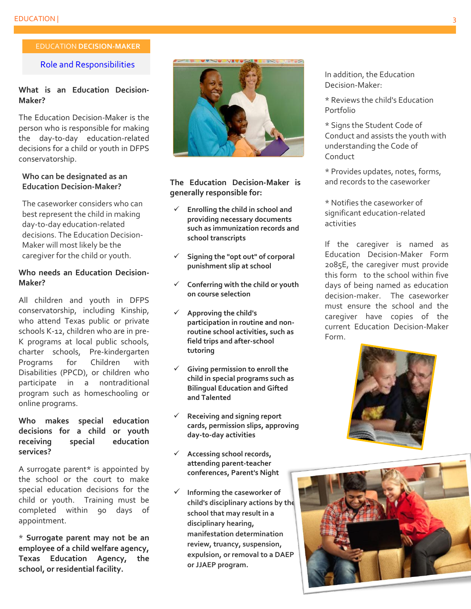#### EDUCATION **DECISION-MAKER**

#### Role and Responsibilities

#### **What is an Education Decision-Maker?**

The Education Decision-Maker is the person who is responsible for making the day-to-day education-related decisions for a child or youth in DFPS conservatorship.

#### **Who can be designated as an Education Decision-Maker?**

The caseworker considers who can best represent the child in making day-to-day education-related decisions. The Education Decision-Maker will most likely be the caregiver for the child or youth.

#### **Who needs an Education Decision-Maker?**

All children and youth in DFPS conservatorship, including Kinship, who attend Texas public or private schools K-12, children who are in pre-K programs at local public schools, charter schools, Pre-kindergarten Programs for Children with Disabilities (PPCD), or children who participate in a nontraditional program such as homeschooling or online programs.

#### **Who makes special education decisions for a child or youth receiving special education services?**

A surrogate parent\* is appointed by the school or the court to make special education decisions for the child or youth. Training must be completed within 90 days of appointment.

\* **Surrogate parent may not be an employee of a child welfare agency, Texas Education Agency, the school, or residential facility.**



**The Education Decision-Maker is generally responsible for:** 

- **Enrolling the child in school and providing necessary documents such as immunization records and school transcripts**
- **Signing the "opt out" of corporal punishment slip at school**
- **Conferring with the child or youth on course selection**
- **Approving the child's participation in routine and nonroutine school activities, such as field trips and after-school tutoring**
- **Giving permission to enroll the child in special programs such as Bilingual Education and Gifted and Talented**
- **Receiving and signing report cards, permission slips, approving day-to-day activities**
- **Accessing school records, attending parent-teacher conferences, Parent's Night**
- **Informing the caseworker of child's disciplinary actions by the school that may result in a disciplinary hearing, manifestation determination review, truancy, suspension, expulsion, or removal to a DAEP or JJAEP program.**

In addition, the Education Decision-Maker:

\* Reviews the child's Education Portfolio

\* Signs the Student Code of Conduct and assists the youth with understanding the Code of Conduct

\* Provides updates, notes, forms, and records to the caseworker

\* Notifies the caseworker of significant education-related activities

If the caregiver is named as Education Decision-Maker Form 2085E, the caregiver must provide this form to the school within five days of being named as education decision-maker. The caseworker must ensure the school and the caregiver have copies of the current Education Decision-Maker Form.



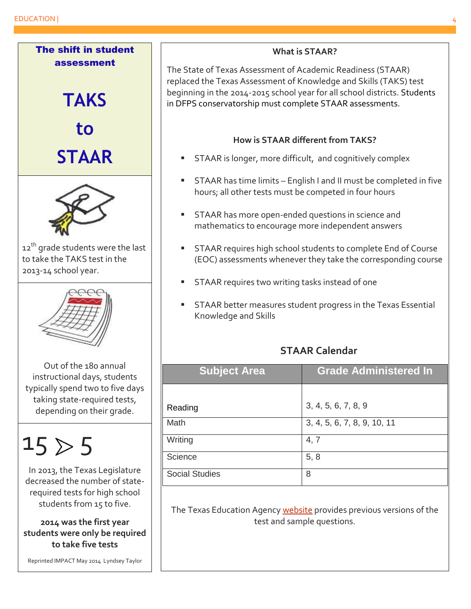

### **What is STAAR?**

The State of Texas Assessment of Academic Readiness (STAAR) replaced the Texas Assessment of Knowledge and Skills (TAKS) test beginning in the 2014-2015 school year for all school districts. Students in DFPS conservatorship must complete STAAR assessments.

## **How is STAAR different from TAKS?**

- STAAR is longer, more difficult, and cognitively complex
- STAAR has time limits English I and II must be completed in five hours; all other tests must be competed in four hours
- **STAAR** has more open-ended questions in science and mathematics to encourage more independent answers
- **STAAR requires high school students to complete End of Course** (EOC) assessments whenever they take the corresponding course
- **STAAR requires two writing tasks instead of one**
- **STAAR better measures student progress in the Texas Essential** Knowledge and Skills

## **STAAR Calendar**

| <b>Subject Area</b>   | <b>Grade Administered In</b> |
|-----------------------|------------------------------|
|                       |                              |
| Reading               | 3, 4, 5, 6, 7, 8, 9          |
| Math                  | 3, 4, 5, 6, 7, 8, 9, 10, 11  |
| Writing               | 4, 7                         |
| Science               | 5, 8                         |
| <b>Social Studies</b> | 8                            |

The Texas Education Agenc[y website](http://www.tea.state.tx.us/student.assessment/staar/) provides previous versions of the test and sample questions.